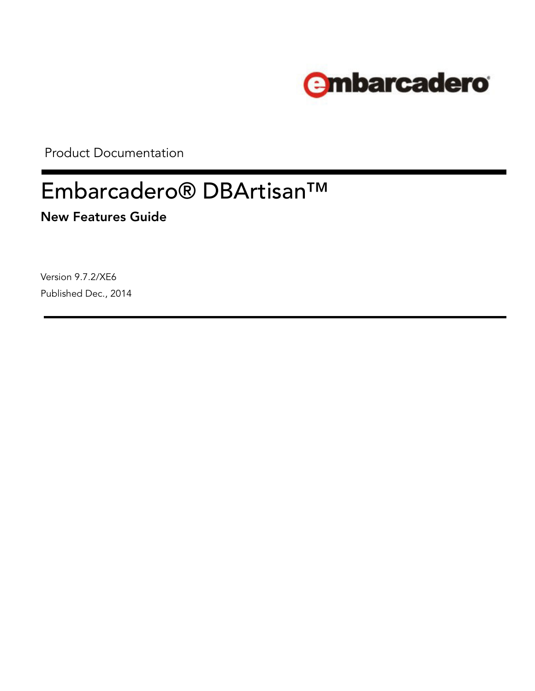

Product Documentation

# Embarcadero® DBArtisan™

**New Features Guide**

Version 9.7.2/XE6 Published Dec., 2014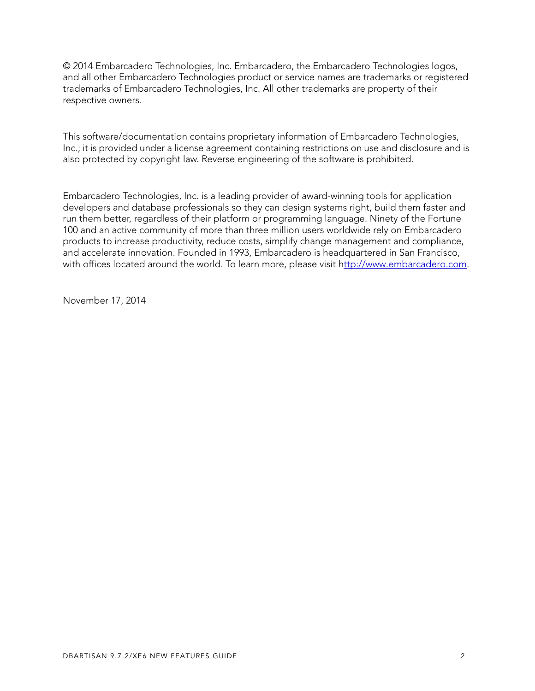© 2014 Embarcadero Technologies, Inc. Embarcadero, the Embarcadero Technologies logos, and all other Embarcadero Technologies product or service names are trademarks or registered trademarks of Embarcadero Technologies, Inc. All other trademarks are property of their respective owners.

This software/documentation contains proprietary information of Embarcadero Technologies, Inc.; it is provided under a license agreement containing restrictions on use and disclosure and is also protected by copyright law. Reverse engineering of the software is prohibited.

Embarcadero Technologies, Inc. is a leading provider of award-winning tools for application developers and database professionals so they can design systems right, build them faster and run them better, regardless of their platform or programming language. Ninety of the Fortune 100 and an active community of more than three million users worldwide rely on Embarcadero products to increase productivity, reduce costs, simplify change management and compliance, and accelerate innovation. Founded in 1993, Embarcadero is headquartered in San Francisco, with offices located around the world. To learn more, please visit h[ttp://www.embarcadero.com](http://www.embarcadero.com).

November 17, 2014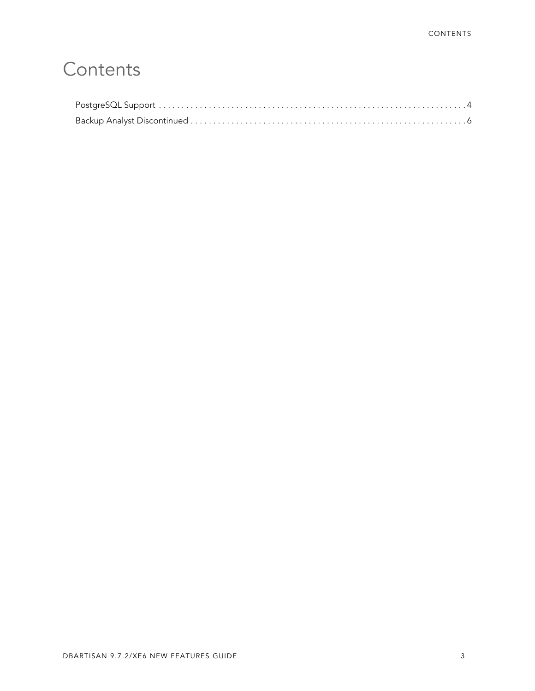# **Contents**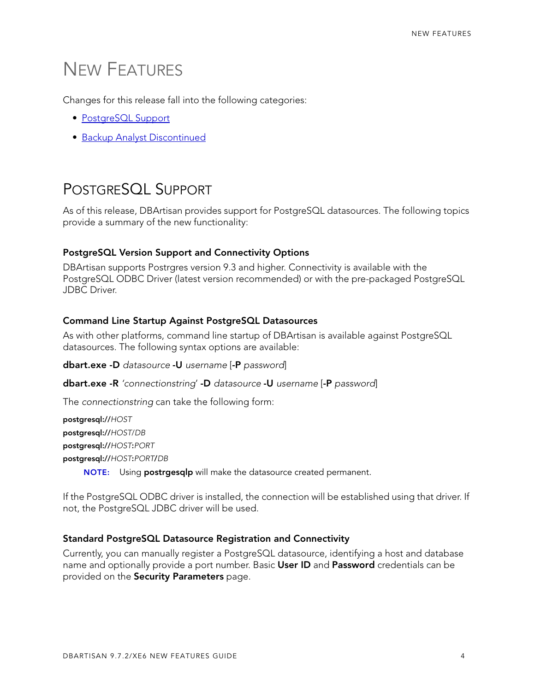## NEW FEATURES

Changes for this release fall into the following categories:

- [PostgreSQL Support](#page-3-0)
- [Backup Analyst Discontinued](#page-5-0)

### <span id="page-3-0"></span>POSTGRESQL SUPPORT

As of this release, DBArtisan provides support for PostgreSQL datasources. The following topics provide a summary of the new functionality:

#### **PostgreSQL Version Support and Connectivity Options**

DBArtisan supports Postrgres version 9.3 and higher. Connectivity is available with the PostgreSQL ODBC Driver (latest version recommended) or with the pre-packaged PostgreSQL JDBC Driver.

#### **Command Line Startup Against PostgreSQL Datasources**

As with other platforms, command line startup of DBArtisan is available against PostgreSQL datasources. The following syntax options are available:

**dbart.exe -D** *datasource* **-U** *username* [**-P** *password*]

**dbart.exe -R** *'connectionstring*' **-D** *datasource* **-U** *username* [**-P** *password*]

The *connectionstring* can take the following form:

**postgresql://***HOST* **postgresql://***HOST*/*DB* **postgresql://***HOST***:***PORT* **postgresql://***HOST***:***PORT***/***DB*

**NOTE:** Using **postrgesqlp** will make the datasource created permanent.

If the PostgreSQL ODBC driver is installed, the connection will be established using that driver. If not, the PostgreSQL JDBC driver will be used.

#### **Standard PostgreSQL Datasource Registration and Connectivity**

Currently, you can manually register a PostgreSQL datasource, identifying a host and database name and optionally provide a port number. Basic **User ID** and **Password** credentials can be provided on the **Security Parameters** page.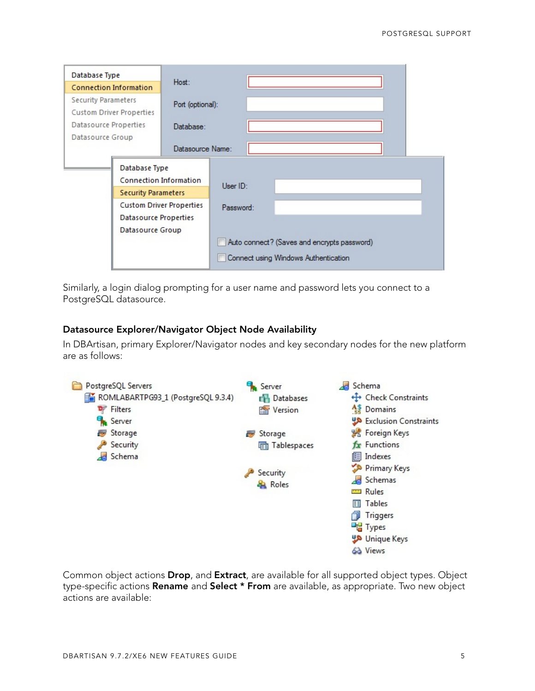| Database Type<br><b>Connection Information</b> |                            | Host:                           |                                      |  |                                             |  |  |  |
|------------------------------------------------|----------------------------|---------------------------------|--------------------------------------|--|---------------------------------------------|--|--|--|
|                                                |                            |                                 |                                      |  |                                             |  |  |  |
| <b>Security Parameters</b>                     |                            | Port (optional):                |                                      |  |                                             |  |  |  |
| Custom Driver Properties                       |                            |                                 |                                      |  |                                             |  |  |  |
| Datasource Properties                          |                            | Database:                       |                                      |  |                                             |  |  |  |
| Datasource Group                               |                            |                                 |                                      |  |                                             |  |  |  |
|                                                |                            | Datasource Name:                |                                      |  |                                             |  |  |  |
|                                                | Database Type              |                                 |                                      |  |                                             |  |  |  |
|                                                | Connection Information     | User ID:                        |                                      |  |                                             |  |  |  |
|                                                | <b>Security Parameters</b> |                                 |                                      |  |                                             |  |  |  |
|                                                |                            | <b>Custom Driver Properties</b> | Password:                            |  |                                             |  |  |  |
|                                                | Datasource Properties      |                                 |                                      |  |                                             |  |  |  |
|                                                | Datasource Group           |                                 |                                      |  |                                             |  |  |  |
|                                                |                            |                                 |                                      |  | Auto connect? (Saves and encrypts password) |  |  |  |
|                                                |                            |                                 | Connect using Windows Authentication |  |                                             |  |  |  |

Similarly, a login dialog prompting for a user name and password lets you connect to a PostgreSQL datasource.

#### **Datasource Explorer/Navigator Object Node Availability**

In DBArtisan, primary Explorer/Navigator nodes and key secondary nodes for the new platform are as follows:



Common object actions **Drop**, and **Extract**, are available for all supported object types. Object type-specific actions **Rename** and **Select \* From** are available, as appropriate. Two new object actions are available: